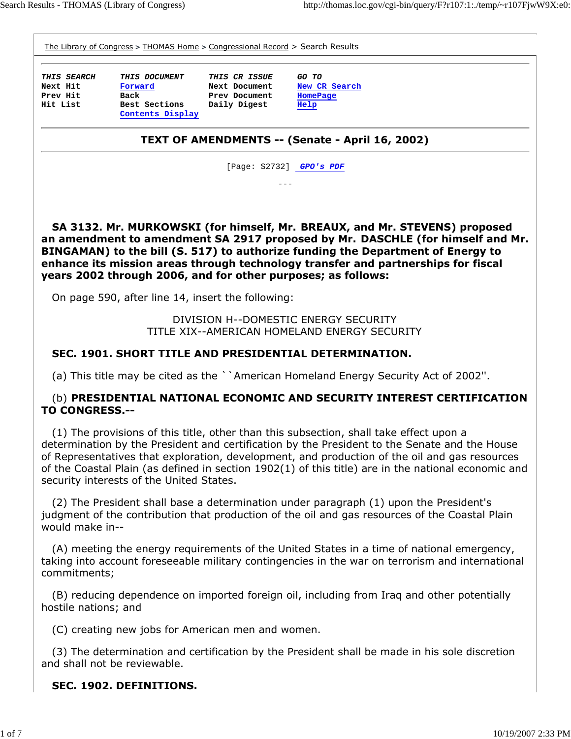The Library of Congress > THOMAS Home > Congressional Record > Search Results

**THIS SEARCH THIS DOCUMENT THIS CR ISSUE GO TO Next Hit Forward Next Document New CR Search** Prev Hit Back **Prev Document** HomePage **Hit List Best Sections Daily Digest Help Contents Display** 

#### TEXT OF AMENDMENTS -- (Senate - April 16, 2002)

[Page: S2732] **GPO's PDF** ---

 SA 3132. Mr. MURKOWSKI (for himself, Mr. BREAUX, and Mr. STEVENS) proposed an amendment to amendment SA 2917 proposed by Mr. DASCHLE (for himself and Mr. BINGAMAN) to the bill (S. 517) to authorize funding the Department of Energy to enhance its mission areas through technology transfer and partnerships for fiscal years 2002 through 2006, and for other purposes; as follows:

On page 590, after line 14, insert the following:

DIVISION H--DOMESTIC ENERGY SECURITY TITLE XIX--AMERICAN HOMELAND ENERGY SECURITY

#### SEC. 1901. SHORT TITLE AND PRESIDENTIAL DETERMINATION.

(a) This title may be cited as the ``American Homeland Energy Security Act of 2002''.

#### (b) PRESIDENTIAL NATIONAL ECONOMIC AND SECURITY INTEREST CERTIFICATION TO CONGRESS.--

 (1) The provisions of this title, other than this subsection, shall take effect upon a determination by the President and certification by the President to the Senate and the House of Representatives that exploration, development, and production of the oil and gas resources of the Coastal Plain (as defined in section 1902(1) of this title) are in the national economic and security interests of the United States.

 (2) The President shall base a determination under paragraph (1) upon the President's judgment of the contribution that production of the oil and gas resources of the Coastal Plain would make in--

 (A) meeting the energy requirements of the United States in a time of national emergency, taking into account foreseeable military contingencies in the war on terrorism and international commitments;

 (B) reducing dependence on imported foreign oil, including from Iraq and other potentially hostile nations; and

(C) creating new jobs for American men and women.

 (3) The determination and certification by the President shall be made in his sole discretion and shall not be reviewable.

#### SEC. 1902. DEFINITIONS.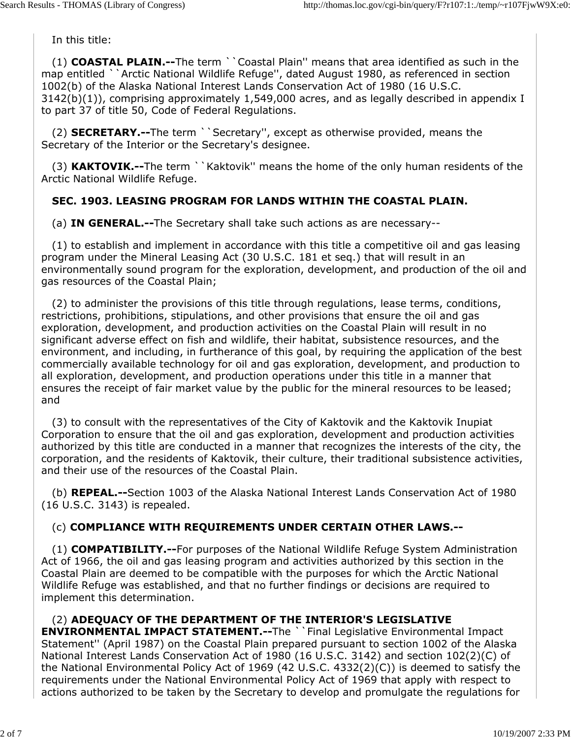In this title:

 (1) COASTAL PLAIN.--The term ``Coastal Plain'' means that area identified as such in the map entitled ``Arctic National Wildlife Refuge'', dated August 1980, as referenced in section 1002(b) of the Alaska National Interest Lands Conservation Act of 1980 (16 U.S.C. 3142(b)(1)), comprising approximately 1,549,000 acres, and as legally described in appendix I to part 37 of title 50, Code of Federal Regulations.

(2) **SECRETARY.--**The term ``Secretary", except as otherwise provided, means the Secretary of the Interior or the Secretary's designee.

(3) **KAKTOVIK.--**The term ``Kaktovik'' means the home of the only human residents of the Arctic National Wildlife Refuge.

# SEC. 1903. LEASING PROGRAM FOR LANDS WITHIN THE COASTAL PLAIN.

(a) IN GENERAL.--The Secretary shall take such actions as are necessary--

 (1) to establish and implement in accordance with this title a competitive oil and gas leasing program under the Mineral Leasing Act (30 U.S.C. 181 et seq.) that will result in an environmentally sound program for the exploration, development, and production of the oil and gas resources of the Coastal Plain;

 (2) to administer the provisions of this title through regulations, lease terms, conditions, restrictions, prohibitions, stipulations, and other provisions that ensure the oil and gas exploration, development, and production activities on the Coastal Plain will result in no significant adverse effect on fish and wildlife, their habitat, subsistence resources, and the environment, and including, in furtherance of this goal, by requiring the application of the best commercially available technology for oil and gas exploration, development, and production to all exploration, development, and production operations under this title in a manner that ensures the receipt of fair market value by the public for the mineral resources to be leased; and

 (3) to consult with the representatives of the City of Kaktovik and the Kaktovik Inupiat Corporation to ensure that the oil and gas exploration, development and production activities authorized by this title are conducted in a manner that recognizes the interests of the city, the corporation, and the residents of Kaktovik, their culture, their traditional subsistence activities, and their use of the resources of the Coastal Plain.

 (b) REPEAL.--Section 1003 of the Alaska National Interest Lands Conservation Act of 1980 (16 U.S.C. 3143) is repealed.

## (c) COMPLIANCE WITH REQUIREMENTS UNDER CERTAIN OTHER LAWS.--

 (1) COMPATIBILITY.--For purposes of the National Wildlife Refuge System Administration Act of 1966, the oil and gas leasing program and activities authorized by this section in the Coastal Plain are deemed to be compatible with the purposes for which the Arctic National Wildlife Refuge was established, and that no further findings or decisions are required to implement this determination.

 (2) ADEQUACY OF THE DEPARTMENT OF THE INTERIOR'S LEGISLATIVE ENVIRONMENTAL IMPACT STATEMENT.--The ``Final Legislative Environmental Impact Statement'' (April 1987) on the Coastal Plain prepared pursuant to section 1002 of the Alaska National Interest Lands Conservation Act of 1980 (16 U.S.C. 3142) and section 102(2)(C) of the National Environmental Policy Act of 1969 (42 U.S.C. 4332(2)(C)) is deemed to satisfy the requirements under the National Environmental Policy Act of 1969 that apply with respect to actions authorized to be taken by the Secretary to develop and promulgate the regulations for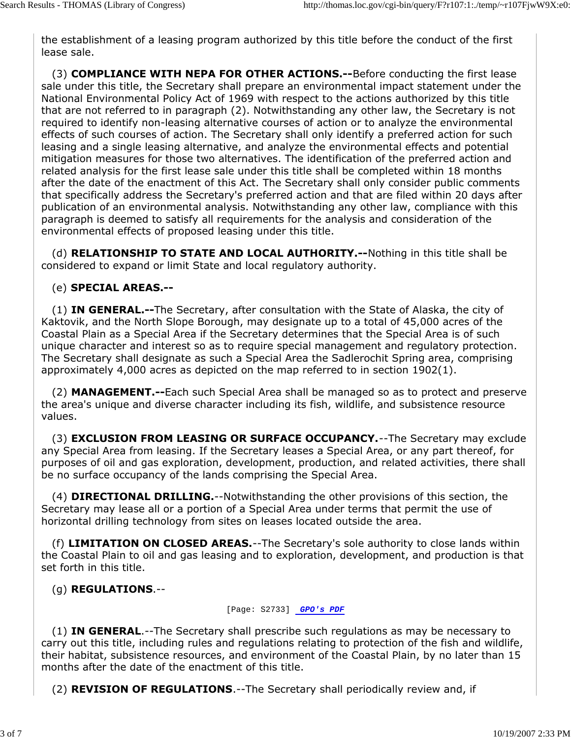the establishment of a leasing program authorized by this title before the conduct of the first lease sale.

 (3) COMPLIANCE WITH NEPA FOR OTHER ACTIONS.--Before conducting the first lease sale under this title, the Secretary shall prepare an environmental impact statement under the National Environmental Policy Act of 1969 with respect to the actions authorized by this title that are not referred to in paragraph (2). Notwithstanding any other law, the Secretary is not required to identify non-leasing alternative courses of action or to analyze the environmental effects of such courses of action. The Secretary shall only identify a preferred action for such leasing and a single leasing alternative, and analyze the environmental effects and potential mitigation measures for those two alternatives. The identification of the preferred action and related analysis for the first lease sale under this title shall be completed within 18 months after the date of the enactment of this Act. The Secretary shall only consider public comments that specifically address the Secretary's preferred action and that are filed within 20 days after publication of an environmental analysis. Notwithstanding any other law, compliance with this paragraph is deemed to satisfy all requirements for the analysis and consideration of the environmental effects of proposed leasing under this title.

(d) **RELATIONSHIP TO STATE AND LOCAL AUTHORITY.--Nothing in this title shall be** considered to expand or limit State and local regulatory authority.

#### (e) SPECIAL AREAS.--

 (1) IN GENERAL.--The Secretary, after consultation with the State of Alaska, the city of Kaktovik, and the North Slope Borough, may designate up to a total of 45,000 acres of the Coastal Plain as a Special Area if the Secretary determines that the Special Area is of such unique character and interest so as to require special management and regulatory protection. The Secretary shall designate as such a Special Area the Sadlerochit Spring area, comprising approximately 4,000 acres as depicted on the map referred to in section 1902(1).

 (2) MANAGEMENT.--Each such Special Area shall be managed so as to protect and preserve the area's unique and diverse character including its fish, wildlife, and subsistence resource values.

(3) **EXCLUSION FROM LEASING OR SURFACE OCCUPANCY.** --The Secretary may exclude any Special Area from leasing. If the Secretary leases a Special Area, or any part thereof, for purposes of oil and gas exploration, development, production, and related activities, there shall be no surface occupancy of the lands comprising the Special Area.

 (4) DIRECTIONAL DRILLING.--Notwithstanding the other provisions of this section, the Secretary may lease all or a portion of a Special Area under terms that permit the use of horizontal drilling technology from sites on leases located outside the area.

 (f) LIMITATION ON CLOSED AREAS.--The Secretary's sole authority to close lands within the Coastal Plain to oil and gas leasing and to exploration, development, and production is that set forth in this title.

(g) REGULATIONS.--

[Page: S2733] **GPO's PDF**

(1) IN GENERAL.--The Secretary shall prescribe such regulations as may be necessary to carry out this title, including rules and regulations relating to protection of the fish and wildlife, their habitat, subsistence resources, and environment of the Coastal Plain, by no later than 15 months after the date of the enactment of this title.

(2) REVISION OF REGULATIONS.--The Secretary shall periodically review and, if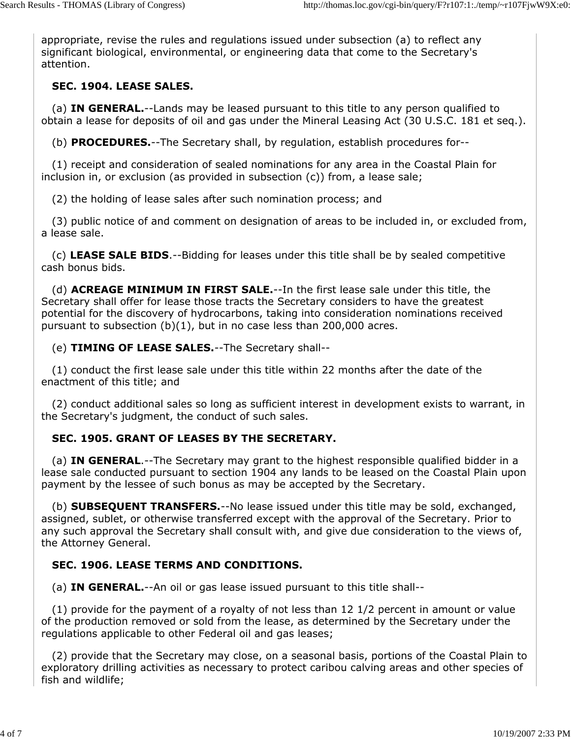appropriate, revise the rules and regulations issued under subsection (a) to reflect any significant biological, environmental, or engineering data that come to the Secretary's attention.

### SEC. 1904. LEASE SALES.

(a) IN GENERAL.--Lands may be leased pursuant to this title to any person qualified to obtain a lease for deposits of oil and gas under the Mineral Leasing Act (30 U.S.C. 181 et seq.).

(b) PROCEDURES.--The Secretary shall, by regulation, establish procedures for--

 (1) receipt and consideration of sealed nominations for any area in the Coastal Plain for inclusion in, or exclusion (as provided in subsection (c)) from, a lease sale;

(2) the holding of lease sales after such nomination process; and

 (3) public notice of and comment on designation of areas to be included in, or excluded from, a lease sale.

 (c) LEASE SALE BIDS.--Bidding for leases under this title shall be by sealed competitive cash bonus bids.

(d) **ACREAGE MINIMUM IN FIRST SALE.**--In the first lease sale under this title, the Secretary shall offer for lease those tracts the Secretary considers to have the greatest potential for the discovery of hydrocarbons, taking into consideration nominations received pursuant to subsection  $(b)(1)$ , but in no case less than 200,000 acres.

(e) TIMING OF LEASE SALES.--The Secretary shall--

 (1) conduct the first lease sale under this title within 22 months after the date of the enactment of this title; and

 (2) conduct additional sales so long as sufficient interest in development exists to warrant, in the Secretary's judgment, the conduct of such sales.

#### SEC. 1905. GRANT OF LEASES BY THE SECRETARY.

(a) **IN GENERAL.**--The Secretary may grant to the highest responsible qualified bidder in a lease sale conducted pursuant to section 1904 any lands to be leased on the Coastal Plain upon payment by the lessee of such bonus as may be accepted by the Secretary.

(b) **SUBSEQUENT TRANSFERS.**--No lease issued under this title may be sold, exchanged, assigned, sublet, or otherwise transferred except with the approval of the Secretary. Prior to any such approval the Secretary shall consult with, and give due consideration to the views of, the Attorney General.

## SEC. 1906. LEASE TERMS AND CONDITIONS.

(a) IN GENERAL.--An oil or gas lease issued pursuant to this title shall--

 (1) provide for the payment of a royalty of not less than 12 1/2 percent in amount or value of the production removed or sold from the lease, as determined by the Secretary under the regulations applicable to other Federal oil and gas leases;

 (2) provide that the Secretary may close, on a seasonal basis, portions of the Coastal Plain to exploratory drilling activities as necessary to protect caribou calving areas and other species of fish and wildlife;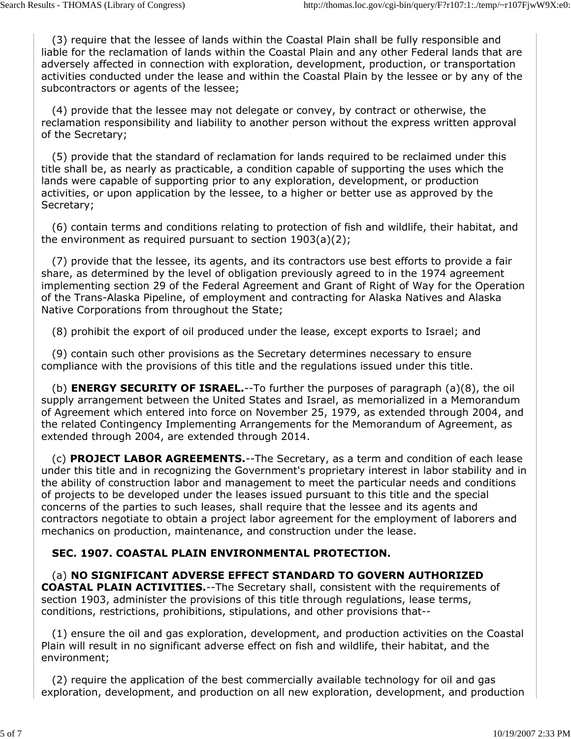(3) require that the lessee of lands within the Coastal Plain shall be fully responsible and liable for the reclamation of lands within the Coastal Plain and any other Federal lands that are adversely affected in connection with exploration, development, production, or transportation activities conducted under the lease and within the Coastal Plain by the lessee or by any of the subcontractors or agents of the lessee;

 (4) provide that the lessee may not delegate or convey, by contract or otherwise, the reclamation responsibility and liability to another person without the express written approval of the Secretary;

 (5) provide that the standard of reclamation for lands required to be reclaimed under this title shall be, as nearly as practicable, a condition capable of supporting the uses which the lands were capable of supporting prior to any exploration, development, or production activities, or upon application by the lessee, to a higher or better use as approved by the Secretary;

 (6) contain terms and conditions relating to protection of fish and wildlife, their habitat, and the environment as required pursuant to section 1903(a)(2);

 (7) provide that the lessee, its agents, and its contractors use best efforts to provide a fair share, as determined by the level of obligation previously agreed to in the 1974 agreement implementing section 29 of the Federal Agreement and Grant of Right of Way for the Operation of the Trans-Alaska Pipeline, of employment and contracting for Alaska Natives and Alaska Native Corporations from throughout the State;

(8) prohibit the export of oil produced under the lease, except exports to Israel; and

 (9) contain such other provisions as the Secretary determines necessary to ensure compliance with the provisions of this title and the regulations issued under this title.

(b) **ENERGY SECURITY OF ISRAEL.**--To further the purposes of paragraph  $(a)(8)$ , the oil supply arrangement between the United States and Israel, as memorialized in a Memorandum of Agreement which entered into force on November 25, 1979, as extended through 2004, and the related Contingency Implementing Arrangements for the Memorandum of Agreement, as extended through 2004, are extended through 2014.

 (c) PROJECT LABOR AGREEMENTS.--The Secretary, as a term and condition of each lease under this title and in recognizing the Government's proprietary interest in labor stability and in the ability of construction labor and management to meet the particular needs and conditions of projects to be developed under the leases issued pursuant to this title and the special concerns of the parties to such leases, shall require that the lessee and its agents and contractors negotiate to obtain a project labor agreement for the employment of laborers and mechanics on production, maintenance, and construction under the lease.

#### SEC. 1907. COASTAL PLAIN ENVIRONMENTAL PROTECTION.

 (a) NO SIGNIFICANT ADVERSE EFFECT STANDARD TO GOVERN AUTHORIZED COASTAL PLAIN ACTIVITIES.--The Secretary shall, consistent with the requirements of section 1903, administer the provisions of this title through regulations, lease terms, conditions, restrictions, prohibitions, stipulations, and other provisions that--

 (1) ensure the oil and gas exploration, development, and production activities on the Coastal Plain will result in no significant adverse effect on fish and wildlife, their habitat, and the environment;

 (2) require the application of the best commercially available technology for oil and gas exploration, development, and production on all new exploration, development, and production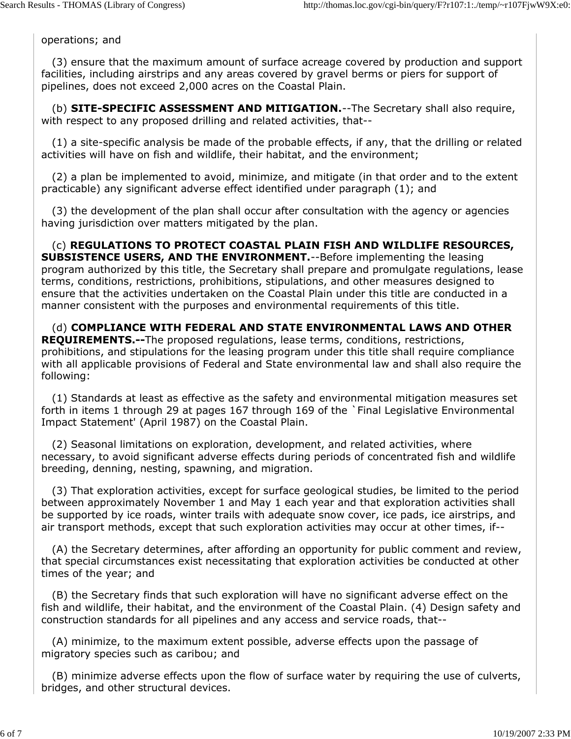operations; and

 (3) ensure that the maximum amount of surface acreage covered by production and support facilities, including airstrips and any areas covered by gravel berms or piers for support of pipelines, does not exceed 2,000 acres on the Coastal Plain.

(b) **SITE-SPECIFIC ASSESSMENT AND MITIGATION.**--The Secretary shall also require, with respect to any proposed drilling and related activities, that--

 (1) a site-specific analysis be made of the probable effects, if any, that the drilling or related activities will have on fish and wildlife, their habitat, and the environment;

 (2) a plan be implemented to avoid, minimize, and mitigate (in that order and to the extent practicable) any significant adverse effect identified under paragraph (1); and

 (3) the development of the plan shall occur after consultation with the agency or agencies having jurisdiction over matters mitigated by the plan.

 (c) REGULATIONS TO PROTECT COASTAL PLAIN FISH AND WILDLIFE RESOURCES, SUBSISTENCE USERS, AND THE ENVIRONMENT.--Before implementing the leasing program authorized by this title, the Secretary shall prepare and promulgate regulations, lease terms, conditions, restrictions, prohibitions, stipulations, and other measures designed to ensure that the activities undertaken on the Coastal Plain under this title are conducted in a manner consistent with the purposes and environmental requirements of this title.

(d) COMPLIANCE WITH FEDERAL AND STATE ENVIRONMENTAL LAWS AND OTHER REQUIREMENTS.--The proposed regulations, lease terms, conditions, restrictions, prohibitions, and stipulations for the leasing program under this title shall require compliance with all applicable provisions of Federal and State environmental law and shall also require the following:

 (1) Standards at least as effective as the safety and environmental mitigation measures set forth in items 1 through 29 at pages 167 through 169 of the `Final Legislative Environmental Impact Statement' (April 1987) on the Coastal Plain.

 (2) Seasonal limitations on exploration, development, and related activities, where necessary, to avoid significant adverse effects during periods of concentrated fish and wildlife breeding, denning, nesting, spawning, and migration.

 (3) That exploration activities, except for surface geological studies, be limited to the period between approximately November 1 and May 1 each year and that exploration activities shall be supported by ice roads, winter trails with adequate snow cover, ice pads, ice airstrips, and air transport methods, except that such exploration activities may occur at other times, if--

 (A) the Secretary determines, after affording an opportunity for public comment and review, that special circumstances exist necessitating that exploration activities be conducted at other times of the year; and

 (B) the Secretary finds that such exploration will have no significant adverse effect on the fish and wildlife, their habitat, and the environment of the Coastal Plain. (4) Design safety and construction standards for all pipelines and any access and service roads, that--

 (A) minimize, to the maximum extent possible, adverse effects upon the passage of migratory species such as caribou; and

 (B) minimize adverse effects upon the flow of surface water by requiring the use of culverts, bridges, and other structural devices.